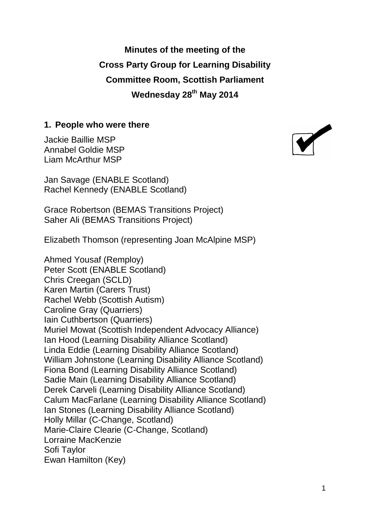**Minutes of the meeting of the Cross Party Group for Learning Disability Committee Room, Scottish Parliament Wednesday 28th May 2014**

#### **1. People who were there**

Jackie Baillie MSP Annabel Goldie MSP Liam McArthur MSP

Jan Savage (ENABLE Scotland) Rachel Kennedy (ENABLE Scotland)

Grace Robertson (BEMAS Transitions Project) Saher Ali (BEMAS Transitions Project)

Elizabeth Thomson (representing Joan McAlpine MSP)

Ahmed Yousaf (Remploy) Peter Scott (ENABLE Scotland) Chris Creegan (SCLD) Karen Martin (Carers Trust) Rachel Webb (Scottish Autism) Caroline Gray (Quarriers) Iain Cuthbertson (Quarriers) Muriel Mowat (Scottish Independent Advocacy Alliance) Ian Hood (Learning Disability Alliance Scotland) Linda Eddie (Learning Disability Alliance Scotland) William Johnstone (Learning Disability Alliance Scotland) Fiona Bond (Learning Disability Alliance Scotland) Sadie Main (Learning Disability Alliance Scotland) Derek Carveli (Learning Disability Alliance Scotland) Calum MacFarlane (Learning Disability Alliance Scotland) Ian Stones (Learning Disability Alliance Scotland) Holly Millar (C-Change, Scotland) Marie-Claire Clearie (C-Change, Scotland) Lorraine MacKenzie Sofi Taylor Ewan Hamilton (Key)

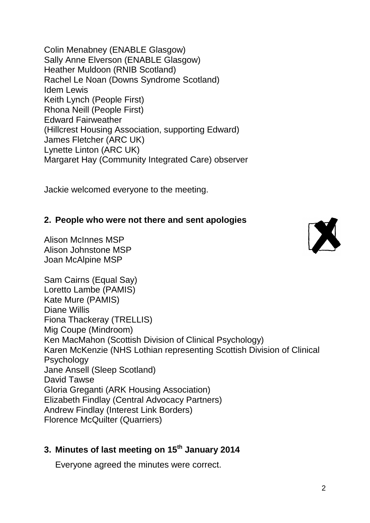Colin Menabney (ENABLE Glasgow) Sally Anne Elverson (ENABLE Glasgow) Heather Muldoon (RNIB Scotland) Rachel Le Noan (Downs Syndrome Scotland) Idem Lewis Keith Lynch (People First) Rhona Neill (People First) Edward Fairweather (Hillcrest Housing Association, supporting Edward) James Fletcher (ARC UK) Lynette Linton (ARC UK) Margaret Hay (Community Integrated Care) observer

Jackie welcomed everyone to the meeting.

## **2. People who were not there and sent apologies**

Alison McInnes MSP Alison Johnstone MSP Joan McAlpine MSP



Sam Cairns (Equal Say) Loretto Lambe (PAMIS) Kate Mure (PAMIS) Diane Willis Fiona Thackeray (TRELLIS) Mig Coupe (Mindroom) Ken MacMahon (Scottish Division of Clinical Psychology) Karen McKenzie (NHS Lothian representing Scottish Division of Clinical Psychology Jane Ansell (Sleep Scotland) David Tawse Gloria Greganti (ARK Housing Association) Elizabeth Findlay (Central Advocacy Partners) Andrew Findlay (Interest Link Borders) Florence McQuilter (Quarriers)

# **3. Minutes of last meeting on 15 th January 2014**

Everyone agreed the minutes were correct.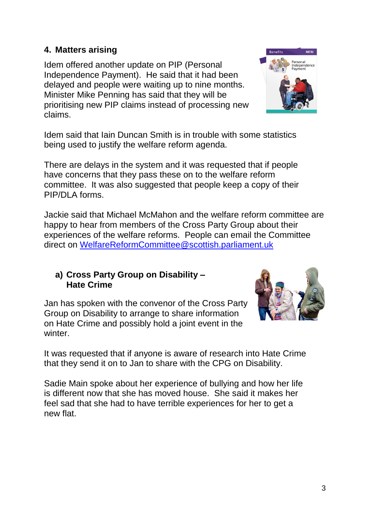#### **4. Matters arising**

Idem offered another update on PIP (Personal Independence Payment). He said that it had been delayed and people were waiting up to nine months. Minister Mike Penning has said that they will be prioritising new PIP claims instead of processing new claims.

Idem said that Iain Duncan Smith is in trouble with some statistics being used to justify the welfare reform agenda.

There are delays in the system and it was requested that if people have concerns that they pass these on to the welfare reform committee. It was also suggested that people keep a copy of their PIP/DLA forms.

Jackie said that Michael McMahon and the welfare reform committee are happy to hear from members of the Cross Party Group about their experiences of the welfare reforms. People can email the Committee direct on [WelfareReformCommittee@scottish.parliament.uk](mailto:WelfareReformCommittee@scottish.parliament.uk) 

#### **a) Cross Party Group on Disability – Hate Crime**

Jan has spoken with the convenor of the Cross Party Group on Disability to arrange to share information on Hate Crime and possibly hold a joint event in the winter

It was requested that if anyone is aware of research into Hate Crime that they send it on to Jan to share with the CPG on Disability.

Sadie Main spoke about her experience of bullying and how her life is different now that she has moved house. She said it makes her feel sad that she had to have terrible experiences for her to get a new flat.



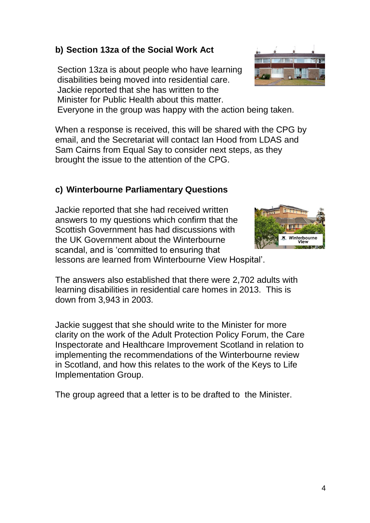4

## **b) Section 13za of the Social Work Act**

Section 13za is about people who have learning disabilities being moved into residential care. Jackie reported that she has written to the Minister for Public Health about this matter.

Everyone in the group was happy with the action being taken.

When a response is received, this will be shared with the CPG by email, and the Secretariat will contact Ian Hood from LDAS and Sam Cairns from Equal Say to consider next steps, as they brought the issue to the attention of the CPG.

## **c) Winterbourne Parliamentary Questions**

Jackie reported that she had received written answers to my questions which confirm that the Scottish Government has had discussions with the UK Government about the Winterbourne scandal, and is 'committed to ensuring that lessons are learned from Winterbourne View Hospital'.

The answers also established that there were 2,702 adults with learning disabilities in residential care homes in 2013. This is down from 3,943 in 2003.

Jackie suggest that she should write to the Minister for more clarity on the work of the Adult Protection Policy Forum, the Care Inspectorate and Healthcare Improvement Scotland in relation to implementing the recommendations of the Winterbourne review in Scotland, and how this relates to the work of the Keys to Life Implementation Group.

The group agreed that a letter is to be drafted to the Minister.



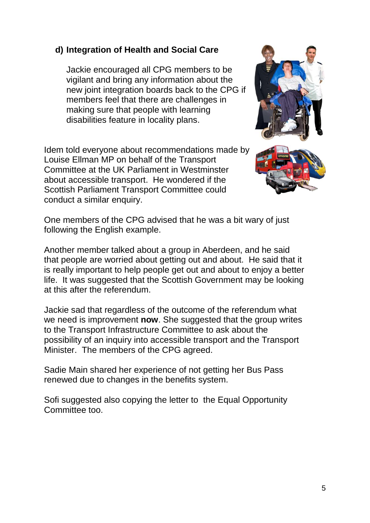### **d) Integration of Health and Social Care**

Jackie encouraged all CPG members to be vigilant and bring any information about the new joint integration boards back to the CPG if members feel that there are challenges in making sure that people with learning disabilities feature in locality plans.

Idem told everyone about recommendations made by Louise Ellman MP on behalf of the Transport Committee at the UK Parliament in Westminster about accessible transport. He wondered if the Scottish Parliament Transport Committee could conduct a similar enquiry.



One members of the CPG advised that he was a bit wary of just following the English example.

Another member talked about a group in Aberdeen, and he said that people are worried about getting out and about. He said that it is really important to help people get out and about to enjoy a better life. It was suggested that the Scottish Government may be looking at this after the referendum.

Jackie sad that regardless of the outcome of the referendum what we need is improvement **now**. She suggested that the group writes to the Transport Infrastructure Committee to ask about the possibility of an inquiry into accessible transport and the Transport Minister. The members of the CPG agreed.

Sadie Main shared her experience of not getting her Bus Pass renewed due to changes in the benefits system.

Sofi suggested also copying the letter to the Equal Opportunity Committee too.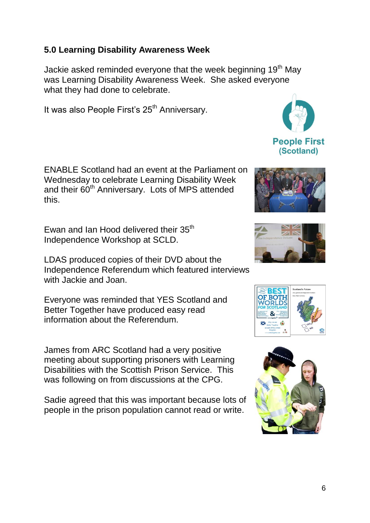# **5.0 Learning Disability Awareness Week**

Jackie asked reminded everyone that the week beginning 19<sup>th</sup> May was Learning Disability Awareness Week. She asked everyone what they had done to celebrate.

It was also People First's 25<sup>th</sup> Anniversary.

ENABLE Scotland had an event at the Parliament on Wednesday to celebrate Learning Disability Week and their 60<sup>th</sup> Anniversary. Lots of MPS attended this.

Ewan and Ian Hood delivered their 35<sup>th</sup> Independence Workshop at SCLD.

LDAS produced copies of their DVD about the Independence Referendum which featured interviews with Jackie and Joan.

Everyone was reminded that YES Scotland and Better Together have produced easy read information about the Referendum.

James from ARC Scotland had a very positive meeting about supporting prisoners with Learning Disabilities with the Scottish Prison Service. This was following on from discussions at the CPG.

Sadie agreed that this was important because lots of people in the prison population cannot read or write.









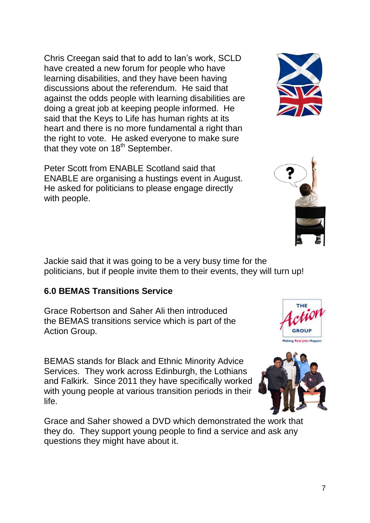Chris Creegan said that to add to Ian's work, SCLD have created a new forum for people who have learning disabilities, and they have been having discussions about the referendum. He said that against the odds people with learning disabilities are doing a great job at keeping people informed. He said that the Keys to Life has human rights at its heart and there is no more fundamental a right than the right to vote. He asked everyone to make sure that they vote on 18<sup>th</sup> September.

Peter Scott from ENABLE Scotland said that ENABLE are organising a hustings event in August. He asked for politicians to please engage directly with people.

Jackie said that it was going to be a very busy time for the politicians, but if people invite them to their events, they will turn up!

## **6.0 BEMAS Transitions Service**

Grace Robertson and Saher Ali then introduced the BEMAS transitions service which is part of the Action Group.

BEMAS stands for Black and Ethnic Minority Advice Services. They work across Edinburgh, the Lothians and Falkirk. Since 2011 they have specifically worked with young people at various transition periods in their life.

Grace and Saher showed a DVD which demonstrated the work that they do. They support young people to find a service and ask any questions they might have about it.







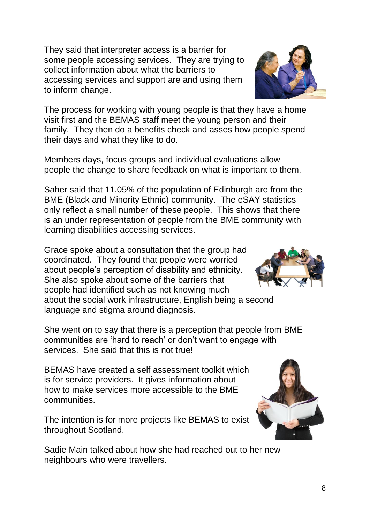services. She said that this is not true! BEMAS have created a self assessment toolkit which

is for service providers. It gives information about how to make services more accessible to the BME communities.

The intention is for more projects like BEMAS to exist throughout Scotland.

Sadie Main talked about how she had reached out to her new neighbours who were travellers.

The process for working with young people is that they have a home visit first and the BEMAS staff meet the young person and their family. They then do a benefits check and asses how people spend their days and what they like to do.

They said that interpreter access is a barrier for

collect information about what the barriers to

to inform change.

some people accessing services. They are trying to

accessing services and support are and using them

Members days, focus groups and individual evaluations allow people the change to share feedback on what is important to them.

Saher said that 11.05% of the population of Edinburgh are from the BME (Black and Minority Ethnic) community. The eSAY statistics only reflect a small number of these people. This shows that there is an under representation of people from the BME community with learning disabilities accessing services.

Grace spoke about a consultation that the group had coordinated. They found that people were worried about people's perception of disability and ethnicity. She also spoke about some of the barriers that people had identified such as not knowing much about the social work infrastructure, English being a second

language and stigma around diagnosis.

She went on to say that there is a perception that people from BME communities are 'hard to reach' or don't want to engage with





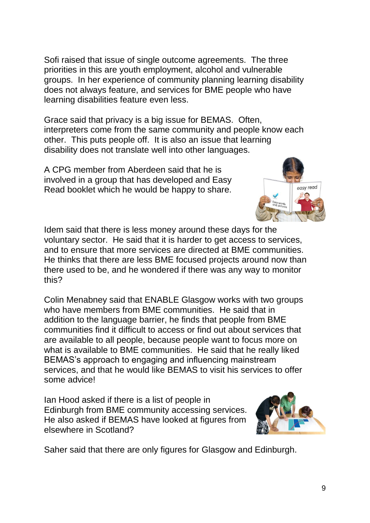Sofi raised that issue of single outcome agreements. The three priorities in this are youth employment, alcohol and vulnerable groups. In her experience of community planning learning disability does not always feature, and services for BME people who have learning disabilities feature even less.

Grace said that privacy is a big issue for BEMAS. Often, interpreters come from the same community and people know each other. This puts people off. It is also an issue that learning disability does not translate well into other languages.

A CPG member from Aberdeen said that he is involved in a group that has developed and Easy Read booklet which he would be happy to share.

Idem said that there is less money around these days for the voluntary sector. He said that it is harder to get access to services, and to ensure that more services are directed at BME communities. He thinks that there are less BME focused projects around now than there used to be, and he wondered if there was any way to monitor this?

Colin Menabney said that ENABLE Glasgow works with two groups who have members from BME communities. He said that in addition to the language barrier, he finds that people from BME communities find it difficult to access or find out about services that are available to all people, because people want to focus more on what is available to BME communities. He said that he really liked BEMAS's approach to engaging and influencing mainstream services, and that he would like BEMAS to visit his services to offer some advice!

Ian Hood asked if there is a list of people in Edinburgh from BME community accessing services. He also asked if BEMAS have looked at figures from elsewhere in Scotland?

Saher said that there are only figures for Glasgow and Edinburgh.



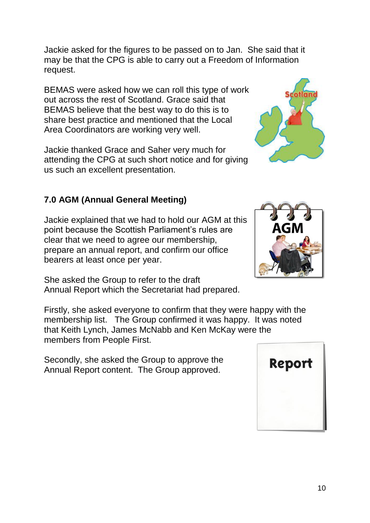Jackie asked for the figures to be passed on to Jan. She said that it may be that the CPG is able to carry out a Freedom of Information request.

BEMAS were asked how we can roll this type of work out across the rest of Scotland. Grace said that BEMAS believe that the best way to do this is to share best practice and mentioned that the Local Area Coordinators are working very well.

Jackie thanked Grace and Saher very much for attending the CPG at such short notice and for giving us such an excellent presentation.

# **7.0 AGM (Annual General Meeting)**

Jackie explained that we had to hold our AGM at this point because the Scottish Parliament's rules are clear that we need to agree our membership, prepare an annual report, and confirm our office bearers at least once per year.

She asked the Group to refer to the draft Annual Report which the Secretariat had prepared.

Firstly, she asked everyone to confirm that they were happy with the membership list. The Group confirmed it was happy. It was noted that Keith Lynch, James McNabb and Ken McKay were the members from People First.

Secondly, she asked the Group to approve the Annual Report content. The Group approved.





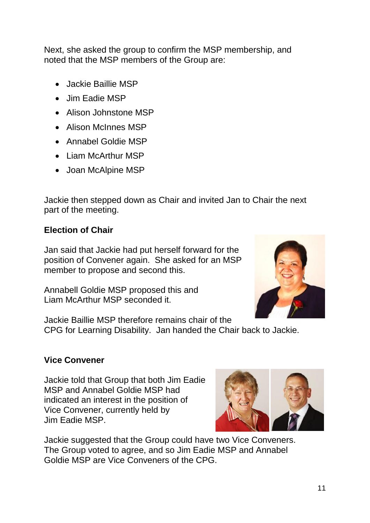Next, she asked the group to confirm the MSP membership, and noted that the MSP members of the Group are:

- Jackie Baillie MSP
- Jim Eadie MSP
- Alison Johnstone MSP
- Alison McInnes MSP
- Annabel Goldie MSP
- Liam McArthur MSP
- Joan McAlpine MSP

Jackie then stepped down as Chair and invited Jan to Chair the next part of the meeting.

#### **Election of Chair**

Jan said that Jackie had put herself forward for the position of Convener again. She asked for an MSP member to propose and second this.

Annabell Goldie MSP proposed this and Liam McArthur MSP seconded it.



Jackie Baillie MSP therefore remains chair of the CPG for Learning Disability. Jan handed the Chair back to Jackie.

#### **Vice Convener**

Jackie told that Group that both Jim Eadie MSP and Annabel Goldie MSP had indicated an interest in the position of Vice Convener, currently held by Jim Eadie MSP.



Jackie suggested that the Group could have two Vice Conveners. The Group voted to agree, and so Jim Eadie MSP and Annabel Goldie MSP are Vice Conveners of the CPG.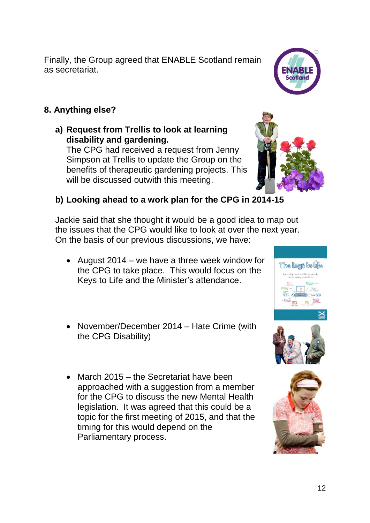Finally, the Group agreed that ENABLE Scotland remain as secretariat.

# **8. Anything else?**

**a) Request from Trellis to look at learning disability and gardening.**

The CPG had received a request from Jenny Simpson at Trellis to update the Group on the benefits of therapeutic gardening projects. This will be discussed outwith this meeting.

## **b) Looking ahead to a work plan for the CPG in 2014-15**

Jackie said that she thought it would be a good idea to map out the issues that the CPG would like to look at over the next year. On the basis of our previous discussions, we have:

- August 2014 we have a three week window for the CPG to take place. This would focus on the Keys to Life and the Minister's attendance.
- November/December 2014 Hate Crime (with the CPG Disability)
- March 2015 the Secretariat have been approached with a suggestion from a member for the CPG to discuss the new Mental Health legislation. It was agreed that this could be a topic for the first meeting of 2015, and that the timing for this would depend on the Parliamentary process.



ENABL **Scotland**